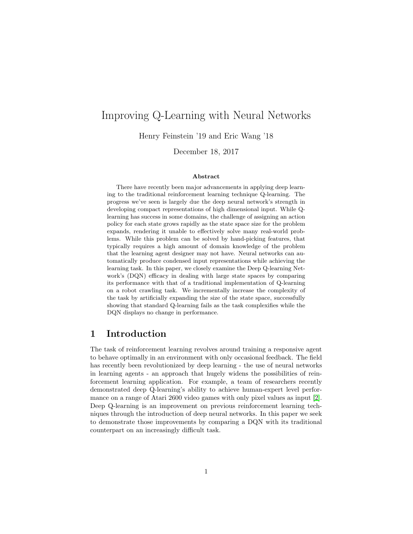# Improving Q-Learning with Neural Networks

Henry Feinstein '19 and Eric Wang '18

December 18, 2017

#### Abstract

There have recently been major advancements in applying deep learning to the traditional reinforcement learning technique Q-learning. The progress we've seen is largely due the deep neural network's strength in developing compact representations of high dimensional input. While Qlearning has success in some domains, the challenge of assigning an action policy for each state grows rapidly as the state space size for the problem expands, rendering it unable to effectively solve many real-world problems. While this problem can be solved by hand-picking features, that typically requires a high amount of domain knowledge of the problem that the learning agent designer may not have. Neural networks can automatically produce condensed input representations while achieving the learning task. In this paper, we closely examine the Deep Q-learning Network's (DQN) efficacy in dealing with large state spaces by comparing its performance with that of a traditional implementation of Q-learning on a robot crawling task. We incrementally increase the complexity of the task by artificially expanding the size of the state space, successfully showing that standard Q-learning fails as the task complexifies while the DQN displays no change in performance.

## 1 Introduction

The task of reinforcement learning revolves around training a responsive agent to behave optimally in an environment with only occasional feedback. The field has recently been revolutionized by deep learning - the use of neural networks in learning agents - an approach that hugely widens the possibilities of reinforcement learning application. For example, a team of researchers recently demonstrated deep Q-learning's ability to achieve human-expert level performance on a range of Atari 2600 video games with only pixel values as input [\[2\]](#page-8-0). Deep Q-learning is an improvement on previous reinforcement learning techniques through the introduction of deep neural networks. In this paper we seek to demonstrate those improvements by comparing a DQN with its traditional counterpart on an increasingly difficult task.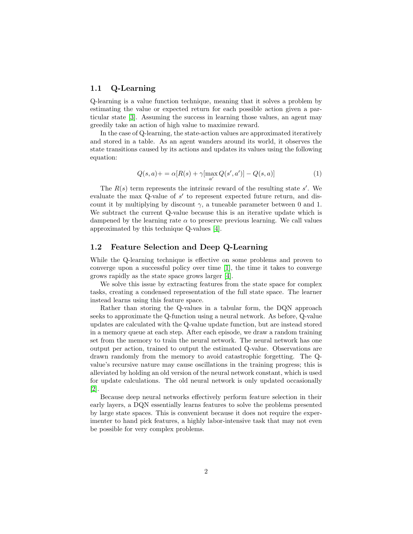## 1.1 Q-Learning

Q-learning is a value function technique, meaning that it solves a problem by estimating the value or expected return for each possible action given a particular state [\[3\]](#page-8-1). Assuming the success in learning those values, an agent may greedily take an action of high value to maximize reward.

In the case of Q-learning, the state-action values are approximated iteratively and stored in a table. As an agent wanders around its world, it observes the state transitions caused by its actions and updates its values using the following equation:

$$
Q(s, a) + \frac{\alpha [R(s) + \gamma [\max_{a'} Q(s', a')] - Q(s, a)]}{a'} \tag{1}
$$

The  $R(s)$  term represents the intrinsic reward of the resulting state  $s'$ . We evaluate the max Q-value of  $s'$  to represent expected future return, and discount it by multiplying by discount  $\gamma$ , a tuneable parameter between 0 and 1. We subtract the current Q-value because this is an iterative update which is dampened by the learning rate  $\alpha$  to preserve previous learning. We call values approximated by this technique Q-values [\[4\]](#page-8-2).

### 1.2 Feature Selection and Deep Q-Learning

While the Q-learning technique is effective on some problems and proven to converge upon a successful policy over time [\[1\]](#page-7-0), the time it takes to converge grows rapidly as the state space grows larger [\[4\]](#page-8-2).

We solve this issue by extracting features from the state space for complex tasks, creating a condensed representation of the full state space. The learner instead learns using this feature space.

Rather than storing the Q-values in a tabular form, the DQN approach seeks to approximate the Q-function using a neural network. As before, Q-value updates are calculated with the Q-value update function, but are instead stored in a memory queue at each step. After each episode, we draw a random training set from the memory to train the neural network. The neural network has one output per action, trained to output the estimated Q-value. Observations are drawn randomly from the memory to avoid catastrophic forgetting. The Qvalue's recursive nature may cause oscillations in the training progress; this is alleviated by holding an old version of the neural network constant, which is used for update calculations. The old neural network is only updated occasionally [\[2\]](#page-8-0).

Because deep neural networks effectively perform feature selection in their early layers, a DQN essentially learns features to solve the problems presented by large state spaces. This is convenient because it does not require the experimenter to hand pick features, a highly labor-intensive task that may not even be possible for very complex problems.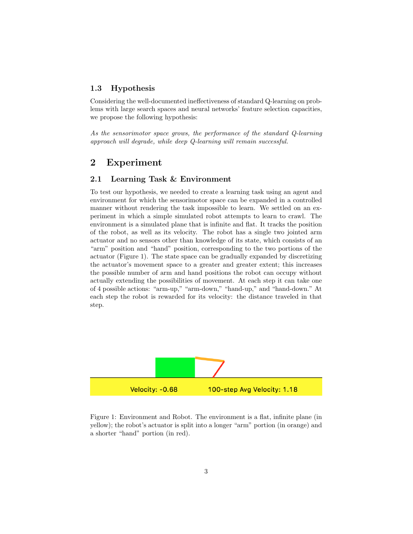## 1.3 Hypothesis

Considering the well-documented ineffectiveness of standard Q-learning on problems with large search spaces and neural networks' feature selection capacities, we propose the following hypothesis:

As the sensorimotor space grows, the performance of the standard Q-learning approach will degrade, while deep Q-learning will remain successful.

## 2 Experiment

#### 2.1 Learning Task & Environment

To test our hypothesis, we needed to create a learning task using an agent and environment for which the sensorimotor space can be expanded in a controlled manner without rendering the task impossible to learn. We settled on an experiment in which a simple simulated robot attempts to learn to crawl. The environment is a simulated plane that is infinite and flat. It tracks the position of the robot, as well as its velocity. The robot has a single two jointed arm actuator and no sensors other than knowledge of its state, which consists of an "arm" position and "hand" position, corresponding to the two portions of the actuator (Figure 1). The state space can be gradually expanded by discretizing the actuator's movement space to a greater and greater extent; this increases the possible number of arm and hand positions the robot can occupy without actually extending the possibilities of movement. At each step it can take one of 4 possible actions: "arm-up," "arm-down," "hand-up," and "hand-down." At each step the robot is rewarded for its velocity: the distance traveled in that step.



Figure 1: Environment and Robot. The environment is a flat, infinite plane (in yellow); the robot's actuator is split into a longer "arm" portion (in orange) and a shorter "hand" portion (in red).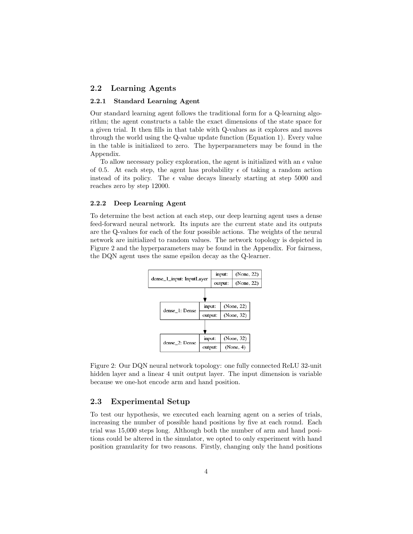#### 2.2 Learning Agents

#### 2.2.1 Standard Learning Agent

Our standard learning agent follows the traditional form for a Q-learning algorithm; the agent constructs a table the exact dimensions of the state space for a given trial. It then fills in that table with Q-values as it explores and moves through the world using the Q-value update function (Equation 1). Every value in the table is initialized to zero. The hyperparameters may be found in the Appendix.

To allow necessary policy exploration, the agent is initialized with an  $\epsilon$  value of 0.5. At each step, the agent has probability  $\epsilon$  of taking a random action instead of its policy. The  $\epsilon$  value decays linearly starting at step 5000 and reaches zero by step 12000.

#### 2.2.2 Deep Learning Agent

To determine the best action at each step, our deep learning agent uses a dense feed-forward neural network. Its inputs are the current state and its outputs are the Q-values for each of the four possible actions. The weights of the neural network are initialized to random values. The network topology is depicted in Figure 2 and the hyperparameters may be found in the Appendix. For fairness, the DQN agent uses the same epsilon decay as the Q-learner.



Figure 2: Our DQN neural network topology: one fully connected ReLU 32-unit hidden layer and a linear 4 unit output layer. The input dimension is variable because we one-hot encode arm and hand position.

#### 2.3 Experimental Setup

To test our hypothesis, we executed each learning agent on a series of trials, increasing the number of possible hand positions by five at each round. Each trial was 15,000 steps long. Although both the number of arm and hand positions could be altered in the simulator, we opted to only experiment with hand position granularity for two reasons. Firstly, changing only the hand positions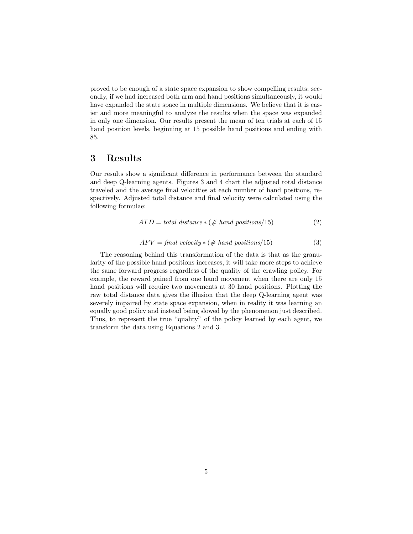proved to be enough of a state space expansion to show compelling results; secondly, if we had increased both arm and hand positions simultaneously, it would have expanded the state space in multiple dimensions. We believe that it is easier and more meaningful to analyze the results when the space was expanded in only one dimension. Our results present the mean of ten trials at each of 15 hand position levels, beginning at 15 possible hand positions and ending with 85.

## 3 Results

Our results show a significant difference in performance between the standard and deep Q-learning agents. Figures 3 and 4 chart the adjusted total distance traveled and the average final velocities at each number of hand positions, respectively. Adjusted total distance and final velocity were calculated using the following formulae:

$$
ATD = total\ distance * (\# \ hand\ positions/15)
$$
 (2)

$$
AFV = final\ velocity * (\# \ hand\ positions/15) \tag{3}
$$

The reasoning behind this transformation of the data is that as the granularity of the possible hand positions increases, it will take more steps to achieve the same forward progress regardless of the quality of the crawling policy. For example, the reward gained from one hand movement when there are only 15 hand positions will require two movements at 30 hand positions. Plotting the raw total distance data gives the illusion that the deep Q-learning agent was severely impaired by state space expansion, when in reality it was learning an equally good policy and instead being slowed by the phenomenon just described. Thus, to represent the true "quality" of the policy learned by each agent, we transform the data using Equations 2 and 3.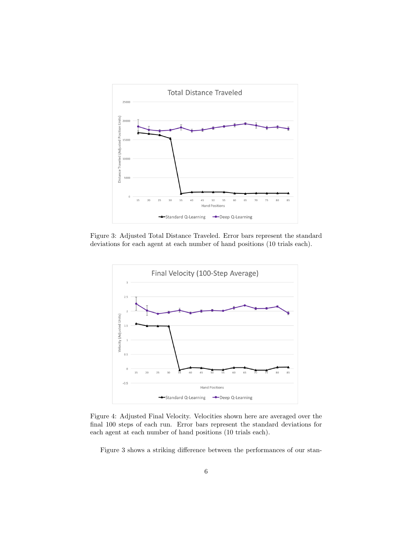

Figure 3: Adjusted Total Distance Traveled. Error bars represent the standard deviations for each agent at each number of hand positions (10 trials each).



Figure 4: Adjusted Final Velocity. Velocities shown here are averaged over the final 100 steps of each run. Error bars represent the standard deviations for each agent at each number of hand positions (10 trials each).

Figure 3 shows a striking difference between the performances of our stan-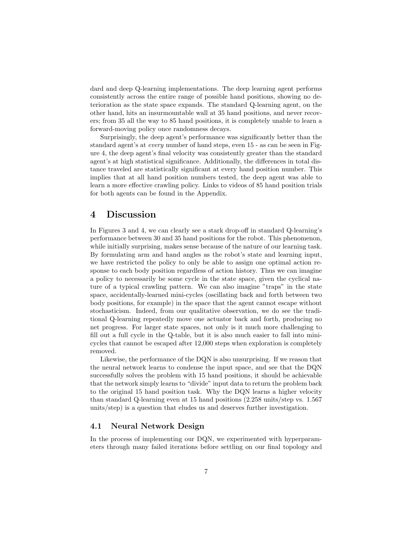dard and deep Q-learning implementations. The deep learning agent performs consistently across the entire range of possible hand positions, showing no deterioration as the state space expands. The standard Q-learning agent, on the other hand, hits an insurmountable wall at 35 hand positions, and never recovers; from 35 all the way to 85 hand positions, it is completely unable to learn a forward-moving policy once randomness decays.

Surprisingly, the deep agent's performance was significantly better than the standard agent's at every number of hand steps, even 15 - as can be seen in Figure 4, the deep agent's final velocity was consistently greater than the standard agent's at high statistical significance. Additionally, the differences in total distance traveled are statistically significant at every hand position number. This implies that at all hand position numbers tested, the deep agent was able to learn a more effective crawling policy. Links to videos of 85 hand position trials for both agents can be found in the Appendix.

## 4 Discussion

In Figures 3 and 4, we can clearly see a stark drop-off in standard Q-learning's performance between 30 and 35 hand positions for the robot. This phenomenon, while initially surprising, makes sense because of the nature of our learning task. By formulating arm and hand angles as the robot's state and learning input, we have restricted the policy to only be able to assign one optimal action response to each body position regardless of action history. Thus we can imagine a policy to necessarily be some cycle in the state space, given the cyclical nature of a typical crawling pattern. We can also imagine "traps" in the state space, accidentally-learned mini-cycles (oscillating back and forth between two body positions, for example) in the space that the agent cannot escape without stochasticism. Indeed, from our qualitative observation, we do see the traditional Q-learning repeatedly move one actuator back and forth, producing no net progress. For larger state spaces, not only is it much more challenging to fill out a full cycle in the Q-table, but it is also much easier to fall into minicycles that cannot be escaped after 12,000 steps when exploration is completely removed.

Likewise, the performance of the DQN is also unsurprising. If we reason that the neural network learns to condense the input space, and see that the DQN successfully solves the problem with 15 hand positions, it should be achievable that the network simply learns to "divide" input data to return the problem back to the original 15 hand position task. Why the DQN learns a higher velocity than standard Q-learning even at 15 hand positions (2.258 units/step vs. 1.567 units/step) is a question that eludes us and deserves further investigation.

## 4.1 Neural Network Design

In the process of implementing our DQN, we experimented with hyperparameters through many failed iterations before settling on our final topology and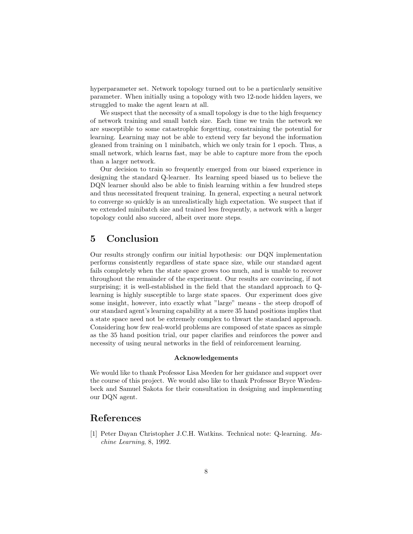hyperparameter set. Network topology turned out to be a particularly sensitive parameter. When initially using a topology with two 12-node hidden layers, we struggled to make the agent learn at all.

We suspect that the necessity of a small topology is due to the high frequency of network training and small batch size. Each time we train the network we are susceptible to some catastrophic forgetting, constraining the potential for learning. Learning may not be able to extend very far beyond the information gleaned from training on 1 minibatch, which we only train for 1 epoch. Thus, a small network, which learns fast, may be able to capture more from the epoch than a larger network.

Our decision to train so frequently emerged from our biased experience in designing the standard Q-learner. Its learning speed biased us to believe the DQN learner should also be able to finish learning within a few hundred steps and thus necessitated frequent training. In general, expecting a neural network to converge so quickly is an unrealistically high expectation. We suspect that if we extended minibatch size and trained less frequently, a network with a larger topology could also succeed, albeit over more steps.

## 5 Conclusion

Our results strongly confirm our initial hypothesis: our DQN implementation performs consistently regardless of state space size, while our standard agent fails completely when the state space grows too much, and is unable to recover throughout the remainder of the experiment. Our results are convincing, if not surprising; it is well-established in the field that the standard approach to Qlearning is highly susceptible to large state spaces. Our experiment does give some insight, however, into exactly what "large" means - the steep dropoff of our standard agent's learning capability at a mere 35 hand positions implies that a state space need not be extremely complex to thwart the standard approach. Considering how few real-world problems are composed of state spaces as simple as the 35 hand position trial, our paper clarifies and reinforces the power and necessity of using neural networks in the field of reinforcement learning.

#### Acknowledgements

We would like to thank Professor Lisa Meeden for her guidance and support over the course of this project. We would also like to thank Professor Bryce Wiedenbeck and Samuel Sakota for their consultation in designing and implementing our DQN agent.

## References

<span id="page-7-0"></span>[1] Peter Dayan Christopher J.C.H. Watkins. Technical note: Q-learning. Machine Learning, 8, 1992.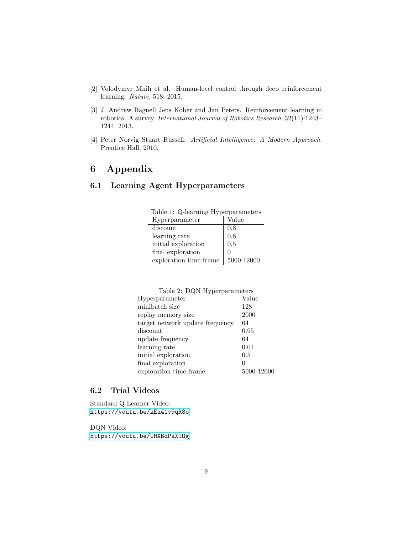- <span id="page-8-0"></span>[2] Volodymyr Mnih et al. Human-level control through deep reinforcement learning. Nature, 518, 2015.
- <span id="page-8-1"></span>[3] J. Andrew Bagnell Jens Kober and Jan Peters. Reinforcement learning in robotics: A survey. International Journal of Robotics Research, 32(11):1243– 1244, 2013.
- <span id="page-8-2"></span>[4] Peter Norvig Stuart Russell. Artificial Intelligence: A Modern Approach. Prentice Hall, 2010.

# 6 Appendix

## 6.1 Learning Agent Hyperparameters

| $\frac{1}{2}$          |            |  |
|------------------------|------------|--|
| Hyperparameter         | Value      |  |
| discount               | $0.8\,$    |  |
| learning rate          | 0.8        |  |
| initial exploration    | 0.5        |  |
| final exploration      |            |  |
| exploration time frame | 5000-12000 |  |

| Table 1: Q-learning Hyperparameters |                                |
|-------------------------------------|--------------------------------|
| Hyperparameter                      | $\overline{\phantom{a}}$ Value |

Table 2: DQN Hyperparameters

| Hyperparameter                  | Value      |
|---------------------------------|------------|
| minibatch size                  | 128        |
| replay memory size              | 2000       |
| target network update frequency | 64         |
| discount                        | 0.95       |
| update frequency                | 64         |
| learning rate                   | 0.01       |
| initial exploration             | 0.5        |
| final exploration               | $\Omega$   |
| exploration time frame          | 5000-12000 |

## 6.2 Trial Videos

Standard Q-Learner Video: <https://youtu.be/kEa41v9qR8o>

DQN Video: <https://youtu.be/UHXBdPaXlOg>